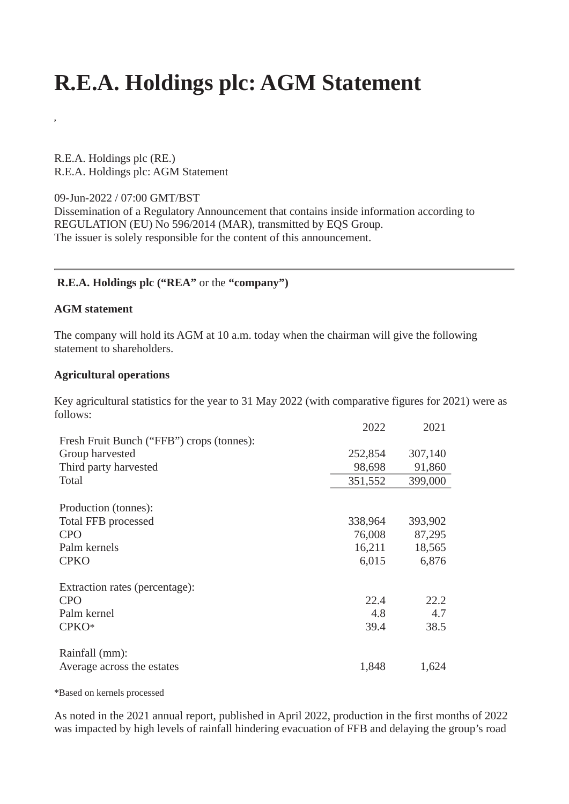# **R.E.A. Holdings plc: AGM Statement**

R.E.A. Holdings plc (RE.) R.E.A. Holdings plc: AGM Statement

09-Jun-2022 / 07:00 GMT/BST Dissemination of a Regulatory Announcement that contains inside information according to REGULATION (EU) No 596/2014 (MAR), transmitted by EQS Group. The issuer is solely responsible for the content of this announcement.

## **R.E.A. Holdings plc ("REA"** or the **"company")**

#### **AGM statement**

**,**

The company will hold its AGM at 10 a.m. today when the chairman will give the following statement to shareholders.

#### **Agricultural operations**

Key agricultural statistics for the year to 31 May 2022 (with comparative figures for 2021) were as follows:

|                                           | 2022    | 2021    |
|-------------------------------------------|---------|---------|
| Fresh Fruit Bunch ("FFB") crops (tonnes): |         |         |
| Group harvested                           | 252,854 | 307,140 |
| Third party harvested                     | 98,698  | 91,860  |
| <b>Total</b>                              | 351,552 | 399,000 |
|                                           |         |         |
| Production (tonnes):                      |         |         |
| <b>Total FFB processed</b>                | 338,964 | 393,902 |
| <b>CPO</b>                                | 76,008  | 87,295  |
| Palm kernels                              | 16,211  | 18,565  |
| <b>CPKO</b>                               | 6,015   | 6,876   |
| Extraction rates (percentage):            |         |         |
| <b>CPO</b>                                | 22.4    | 22.2    |
| Palm kernel                               | 4.8     | 4.7     |
| CPKO*                                     | 39.4    | 38.5    |
| Rainfall (mm):                            |         |         |
| Average across the estates                | 1,848   | 1,624   |

\*Based on kernels processed

As noted in the 2021 annual report, published in April 2022, production in the first months of 2022 was impacted by high levels of rainfall hindering evacuation of FFB and delaying the group's road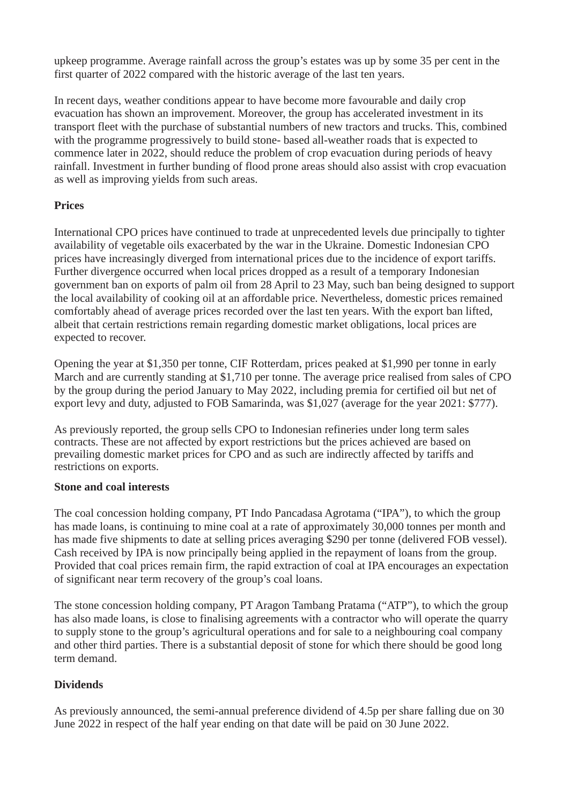upkeep programme. Average rainfall across the group's estates was up by some 35 per cent in the first quarter of 2022 compared with the historic average of the last ten years.

In recent days, weather conditions appear to have become more favourable and daily crop evacuation has shown an improvement. Moreover, the group has accelerated investment in its transport fleet with the purchase of substantial numbers of new tractors and trucks. This, combined with the programme progressively to build stone- based all-weather roads that is expected to commence later in 2022, should reduce the problem of crop evacuation during periods of heavy rainfall. Investment in further bunding of flood prone areas should also assist with crop evacuation as well as improving yields from such areas.

# **Prices**

International CPO prices have continued to trade at unprecedented levels due principally to tighter availability of vegetable oils exacerbated by the war in the Ukraine. Domestic Indonesian CPO prices have increasingly diverged from international prices due to the incidence of export tariffs. Further divergence occurred when local prices dropped as a result of a temporary Indonesian government ban on exports of palm oil from 28 April to 23 May, such ban being designed to support the local availability of cooking oil at an affordable price. Nevertheless, domestic prices remained comfortably ahead of average prices recorded over the last ten years. With the export ban lifted, albeit that certain restrictions remain regarding domestic market obligations, local prices are expected to recover.

Opening the year at \$1,350 per tonne, CIF Rotterdam, prices peaked at \$1,990 per tonne in early March and are currently standing at \$1,710 per tonne. The average price realised from sales of CPO by the group during the period January to May 2022, including premia for certified oil but net of export levy and duty, adjusted to FOB Samarinda, was \$1,027 (average for the year 2021: \$777).

As previously reported, the group sells CPO to Indonesian refineries under long term sales contracts. These are not affected by export restrictions but the prices achieved are based on prevailing domestic market prices for CPO and as such are indirectly affected by tariffs and restrictions on exports.

## **Stone and coal interests**

The coal concession holding company, PT Indo Pancadasa Agrotama ("IPA"), to which the group has made loans, is continuing to mine coal at a rate of approximately 30,000 tonnes per month and has made five shipments to date at selling prices averaging \$290 per tonne (delivered FOB vessel). Cash received by IPA is now principally being applied in the repayment of loans from the group. Provided that coal prices remain firm, the rapid extraction of coal at IPA encourages an expectation of significant near term recovery of the group's coal loans.

The stone concession holding company, PT Aragon Tambang Pratama ("ATP"), to which the group has also made loans, is close to finalising agreements with a contractor who will operate the quarry to supply stone to the group's agricultural operations and for sale to a neighbouring coal company and other third parties. There is a substantial deposit of stone for which there should be good long term demand.

# **Dividends**

As previously announced, the semi-annual preference dividend of 4.5p per share falling due on 30 June 2022 in respect of the half year ending on that date will be paid on 30 June 2022.